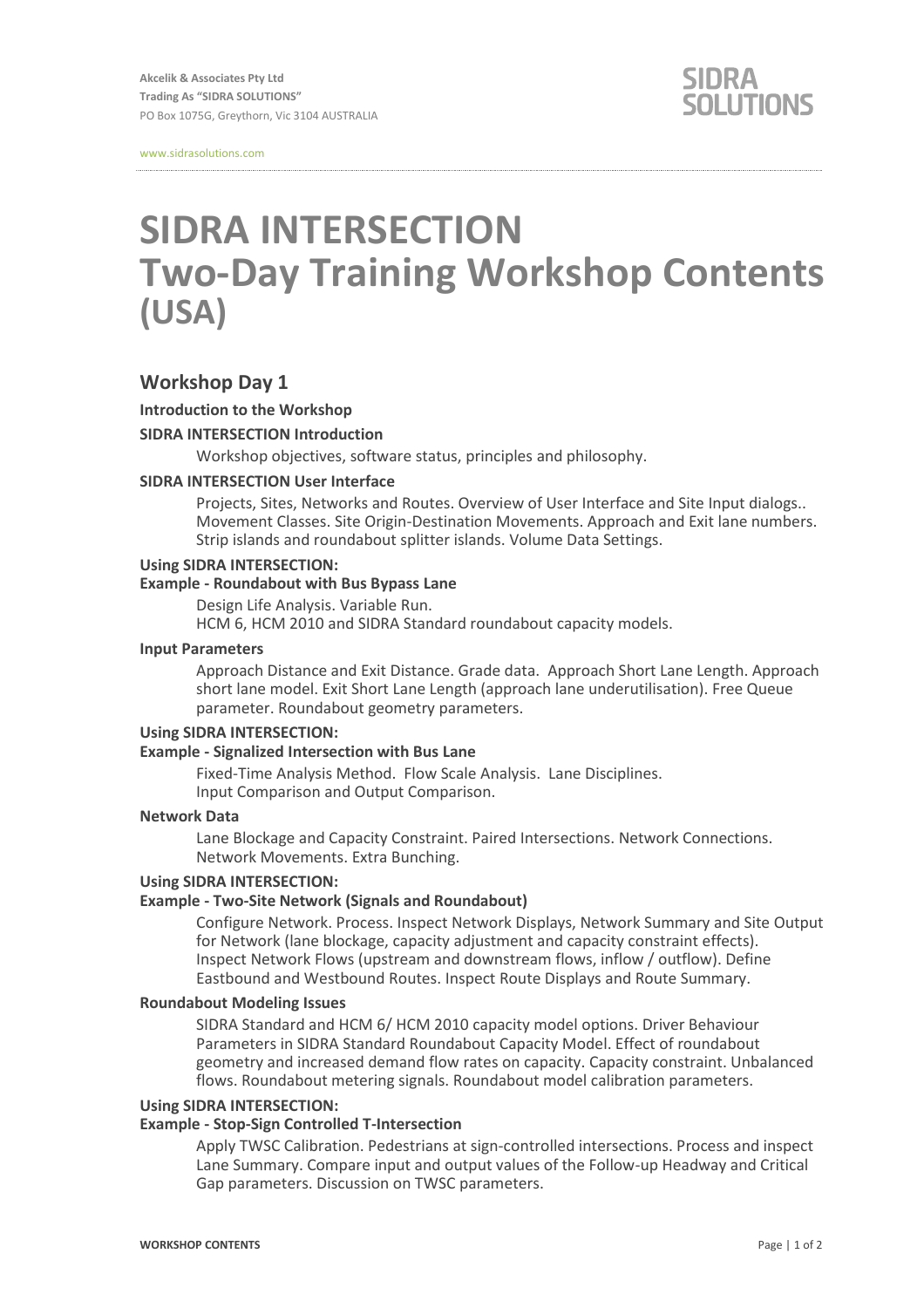www.sidrasolutions.com

# **SIDRA INTERSECTION Two-Day Training Workshop Contents (USA)**

# **Workshop Day 1**

## **Introduction to the Workshop**

## **SIDRA INTERSECTION Introduction**

Workshop objectives, software status, principles and philosophy.

## **SIDRA INTERSECTION User Interface**

Projects, Sites, Networks and Routes. Overview of User Interface and Site Input dialogs.. Movement Classes. Site Origin-Destination Movements. Approach and Exit lane numbers. Strip islands and roundabout splitter islands. Volume Data Settings.

## **Using SIDRA INTERSECTION:**

#### **Example - Roundabout with Bus Bypass Lane**

Design Life Analysis. Variable Run.

HCM 6, HCM 2010 and SIDRA Standard roundabout capacity models.

#### **Input Parameters**

Approach Distance and Exit Distance. Grade data. Approach Short Lane Length. Approach short lane model. Exit Short Lane Length (approach lane underutilisation). Free Queue parameter. Roundabout geometry parameters.

#### **Using SIDRA INTERSECTION:**

#### **Example - Signalized Intersection with Bus Lane**

Fixed-Time Analysis Method. Flow Scale Analysis. Lane Disciplines. Input Comparison and Output Comparison.

## **Network Data**

Lane Blockage and Capacity Constraint. Paired Intersections. Network Connections. Network Movements. Extra Bunching.

## **Using SIDRA INTERSECTION:**

#### **Example - Two-Site Network (Signals and Roundabout)**

Configure Network. Process. Inspect Network Displays, Network Summary and Site Output for Network (lane blockage, capacity adjustment and capacity constraint effects). Inspect Network Flows (upstream and downstream flows, inflow / outflow). Define Eastbound and Westbound Routes. Inspect Route Displays and Route Summary.

#### **Roundabout Modeling Issues**

SIDRA Standard and HCM 6/ HCM 2010 capacity model options. Driver Behaviour Parameters in SIDRA Standard Roundabout Capacity Model. Effect of roundabout geometry and increased demand flow rates on capacity. Capacity constraint. Unbalanced flows. Roundabout metering signals. Roundabout model calibration parameters.

#### **Using SIDRA INTERSECTION:**

#### **Example - Stop-Sign Controlled T-Intersection**

Apply TWSC Calibration. Pedestrians at sign-controlled intersections. Process and inspect Lane Summary. Compare input and output values of the Follow-up Headway and Critical Gap parameters. Discussion on TWSC parameters.